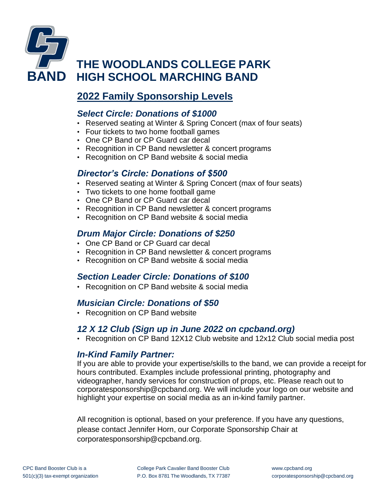

# **THE WOODLANDS COLLEGE PARK BAND HIGH SCHOOL MARCHING BAND**

## **2022 Family Sponsorship Levels**

#### *Select Circle: Donations of \$1000*

- Reserved seating at Winter & Spring Concert (max of four seats)
- Four tickets to two home football games
- One CP Band or CP Guard car decal
- Recognition in CP Band newsletter & concert programs
- Recognition on CP Band website & social media

#### *Director's Circle: Donations of \$500*

- Reserved seating at Winter & Spring Concert (max of four seats)
- Two tickets to one home football game
- One CP Band or CP Guard car decal
- Recognition in CP Band newsletter & concert programs
- Recognition on CP Band website & social media

### *Drum Major Circle: Donations of \$250*

- One CP Band or CP Guard car decal
- Recognition in CP Band newsletter & concert programs
- Recognition on CP Band website & social media

### *Section Leader Circle: Donations of \$100*

• Recognition on CP Band website & social media

#### *Musician Circle: Donations of \$50*

• Recognition on CP Band website

#### *12 X 12 Club (Sign up in June 2022 on cpcband.org)*

• Recognition on CP Band 12X12 Club website and 12x12 Club social media post

#### *In-Kind Family Partner:*

If you are able to provide your expertise/skills to the band, we can provide a receipt for hours contributed. Examples include professional printing, photography and videographer, handy services for construction of props, etc. Please reach out to [corporatesponsorship@cpcband.org.](mailto:corporatesponsorship@cpcband.org) We will include your logo on our website and highlight your expertise on social media as an in-kind family partner.

All recognition is optional, based on your preference. If you have any questions, please contact Jennifer Horn, our Corporate Sponsorship Chair at corporatesponsorship@cpcband.org.